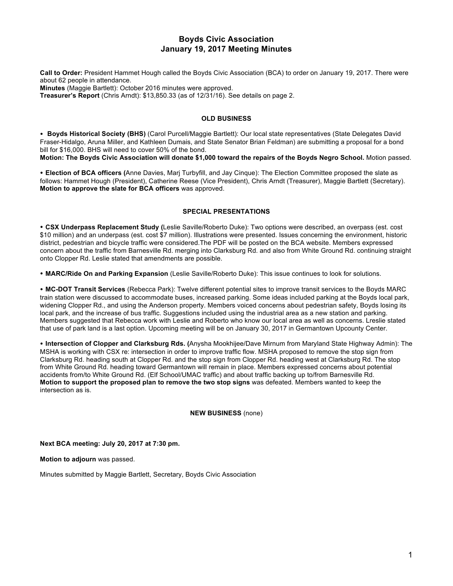### **Boyds Civic Association January 19, 2017 Meeting Minutes**

**Call to Order:** President Hammet Hough called the Boyds Civic Association (BCA) to order on January 19, 2017. There were about 62 people in attendance. **Minutes** (Maggie Bartlett): October 2016 minutes were approved.

**Treasurer's Report** (Chris Arndt): \$13,850.33 (as of 12/31/16). See details on page 2.

#### **OLD BUSINESS**

• **Boyds Historical Society (BHS)** (Carol Purcell/Maggie Bartlett): Our local state representatives (State Delegates David Fraser-Hidalgo, Aruna Miller, and Kathleen Dumais, and State Senator Brian Feldman) are submitting a proposal for a bond bill for \$16,000. BHS will need to cover 50% of the bond.

**Motion: The Boyds Civic Association will donate \$1,000 toward the repairs of the Boyds Negro School.** Motion passed.

• **Election of BCA officers (**Anne Davies, Marj Turbyfill, and Jay Cinque): The Election Committee proposed the slate as follows: Hammet Hough (President), Catherine Reese (Vice President), Chris Arndt (Treasurer), Maggie Bartlett (Secretary). **Motion to approve the slate for BCA officers** was approved.

#### **SPECIAL PRESENTATIONS**

• **CSX Underpass Replacement Study (**Leslie Saville/Roberto Duke): Two options were described, an overpass (est. cost \$10 million) and an underpass (est. cost \$7 million). Illustrations were presented. Issues concerning the environment, historic district, pedestrian and bicycle traffic were considered.The PDF will be posted on the BCA website. Members expressed concern about the traffic from Barnesville Rd. merging into Clarksburg Rd. and also from White Ground Rd. continuing straight onto Clopper Rd. Leslie stated that amendments are possible.

• **MARC/Ride On and Parking Expansion** (Leslie Saville/Roberto Duke): This issue continues to look for solutions.

• **MC-DOT Transit Services** (Rebecca Park): Twelve different potential sites to improve transit services to the Boyds MARC train station were discussed to accommodate buses, increased parking. Some ideas included parking at the Boyds local park, widening Clopper Rd., and using the Anderson property. Members voiced concerns about pedestrian safety, Boyds losing its local park, and the increase of bus traffic. Suggestions included using the industrial area as a new station and parking. Members suggested that Rebecca work with Leslie and Roberto who know our local area as well as concerns. Lreslie stated that use of park land is a last option. Upcoming meeting will be on January 30, 2017 in Germantown Upcounty Center.

• **Intersection of Clopper and Clarksburg Rds. (**Anysha Mookhijee/Dave Mirnum from Maryland State Highway Admin): The MSHA is working with CSX re: intersection in order to improve traffic flow. MSHA proposed to remove the stop sign from Clarksburg Rd. heading south at Clopper Rd. and the stop sign from Clopper Rd. heading west at Clarksburg Rd. The stop from White Ground Rd. heading toward Germantown will remain in place. Members expressed concerns about potential accidents from/to White Ground Rd. (Elf School/UMAC traffic) and about traffic backing up to/from Barnesville Rd. **Motion to support the proposed plan to remove the two stop signs** was defeated. Members wanted to keep the intersection as is.

**NEW BUSINESS** (none)

**Next BCA meeting: July 20, 2017 at 7:30 pm.**

**Motion to adjourn** was passed.

Minutes submitted by Maggie Bartlett, Secretary, Boyds Civic Association